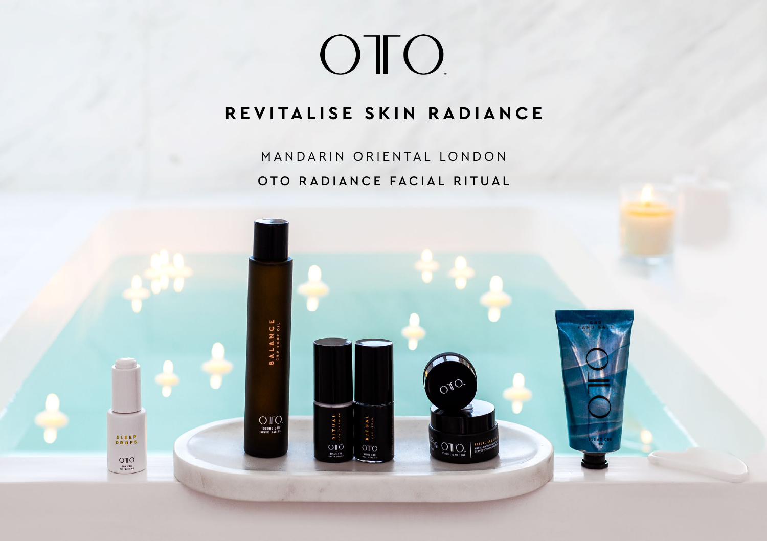# OTO.

# **REVITALISE SKIN RADIANCE**

MANDARIN ORIENTAL LONDON OTO RADIANCE FACIAL RITUAL